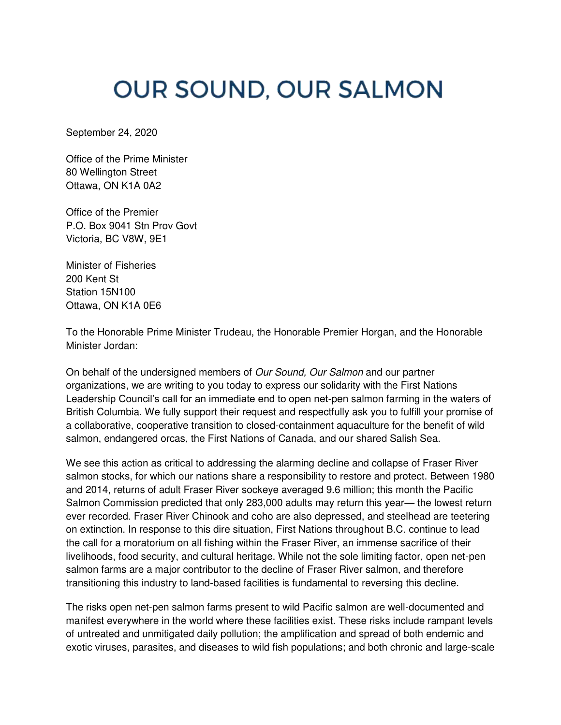## **OUR SOUND, OUR SALMON**

September 24, 2020

Office of the Prime Minister 80 Wellington Street Ottawa, ON K1A 0A2

Office of the Premier P.O. Box 9041 Stn Prov Govt Victoria, BC V8W, 9E1

Minister of Fisheries 200 Kent St Station 15N100 Ottawa, ON K1A 0E6

To the Honorable Prime Minister Trudeau, the Honorable Premier Horgan, and the Honorable Minister Jordan:

On behalf of the undersigned members of *Our Sound, Our Salmon* and our partner organizations, we are writing to you today to express our solidarity with the First Nations Leadership Council's call for an immediate end to open net-pen salmon farming in the waters of British Columbia. We fully support their request and respectfully ask you to fulfill your promise of a collaborative, cooperative transition to closed-containment aquaculture for the benefit of wild salmon, endangered orcas, the First Nations of Canada, and our shared Salish Sea.

We see this action as critical to addressing the alarming decline and collapse of Fraser River salmon stocks, for which our nations share a responsibility to restore and protect. Between 1980 and 2014, returns of adult Fraser River sockeye averaged 9.6 million; this month the Pacific Salmon Commission predicted that only 283,000 adults may return this year— the lowest return ever recorded. Fraser River Chinook and coho are also depressed, and steelhead are teetering on extinction. In response to this dire situation, First Nations throughout B.C. continue to lead the call for a moratorium on all fishing within the Fraser River, an immense sacrifice of their livelihoods, food security, and cultural heritage. While not the sole limiting factor, open net-pen salmon farms are a major contributor to the decline of Fraser River salmon, and therefore transitioning this industry to land-based facilities is fundamental to reversing this decline.

The risks open net-pen salmon farms present to wild Pacific salmon are well-documented and manifest everywhere in the world where these facilities exist. These risks include rampant levels of untreated and unmitigated daily pollution; the amplification and spread of both endemic and exotic viruses, parasites, and diseases to wild fish populations; and both chronic and large-scale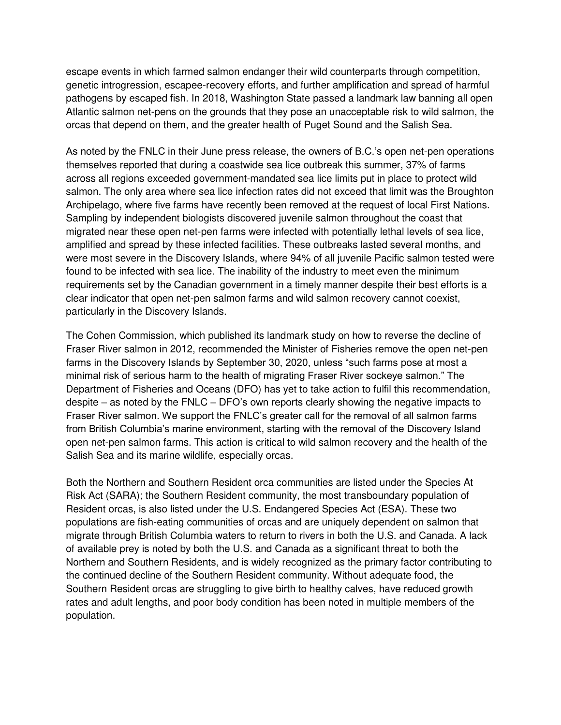escape events in which farmed salmon endanger their wild counterparts through competition, genetic introgression, escapee-recovery efforts, and further amplification and spread of harmful pathogens by escaped fish. In 2018, Washington State passed a landmark law banning all open Atlantic salmon net-pens on the grounds that they pose an unacceptable risk to wild salmon, the orcas that depend on them, and the greater health of Puget Sound and the Salish Sea.

As noted by the FNLC in their June press release, the owners of B.C.'s open net-pen operations themselves reported that during a coastwide sea lice outbreak this summer, 37% of farms across all regions exceeded government-mandated sea lice limits put in place to protect wild salmon. The only area where sea lice infection rates did not exceed that limit was the Broughton Archipelago, where five farms have recently been removed at the request of local First Nations. Sampling by independent biologists discovered juvenile salmon throughout the coast that migrated near these open net-pen farms were infected with potentially lethal levels of sea lice, amplified and spread by these infected facilities. These outbreaks lasted several months, and were most severe in the Discovery Islands, where 94% of all juvenile Pacific salmon tested were found to be infected with sea lice. The inability of the industry to meet even the minimum requirements set by the Canadian government in a timely manner despite their best efforts is a clear indicator that open net-pen salmon farms and wild salmon recovery cannot coexist, particularly in the Discovery Islands.

The Cohen Commission, which published its landmark study on how to reverse the decline of Fraser River salmon in 2012, recommended the Minister of Fisheries remove the open net-pen farms in the Discovery Islands by September 30, 2020, unless "such farms pose at most a minimal risk of serious harm to the health of migrating Fraser River sockeye salmon." The Department of Fisheries and Oceans (DFO) has yet to take action to fulfil this recommendation, despite – as noted by the FNLC – DFO's own reports clearly showing the negative impacts to Fraser River salmon. We support the FNLC's greater call for the removal of all salmon farms from British Columbia's marine environment, starting with the removal of the Discovery Island open net-pen salmon farms. This action is critical to wild salmon recovery and the health of the Salish Sea and its marine wildlife, especially orcas.

Both the Northern and Southern Resident orca communities are listed under the Species At Risk Act (SARA); the Southern Resident community, the most transboundary population of Resident orcas, is also listed under the U.S. Endangered Species Act (ESA). These two populations are fish-eating communities of orcas and are uniquely dependent on salmon that migrate through British Columbia waters to return to rivers in both the U.S. and Canada. A lack of available prey is noted by both the U.S. and Canada as a significant threat to both the Northern and Southern Residents, and is widely recognized as the primary factor contributing to the continued decline of the Southern Resident community. Without adequate food, the Southern Resident orcas are struggling to give birth to healthy calves, have reduced growth rates and adult lengths, and poor body condition has been noted in multiple members of the population.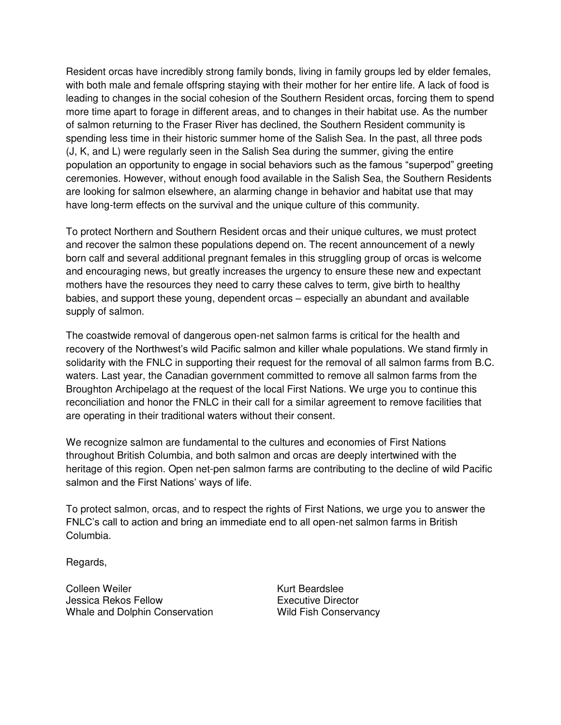Resident orcas have incredibly strong family bonds, living in family groups led by elder females, with both male and female offspring staying with their mother for her entire life. A lack of food is leading to changes in the social cohesion of the Southern Resident orcas, forcing them to spend more time apart to forage in different areas, and to changes in their habitat use. As the number of salmon returning to the Fraser River has declined, the Southern Resident community is spending less time in their historic summer home of the Salish Sea. In the past, all three pods (J, K, and L) were regularly seen in the Salish Sea during the summer, giving the entire population an opportunity to engage in social behaviors such as the famous "superpod" greeting ceremonies. However, without enough food available in the Salish Sea, the Southern Residents are looking for salmon elsewhere, an alarming change in behavior and habitat use that may have long-term effects on the survival and the unique culture of this community.

To protect Northern and Southern Resident orcas and their unique cultures, we must protect and recover the salmon these populations depend on. The recent announcement of a newly born calf and several additional pregnant females in this struggling group of orcas is welcome and encouraging news, but greatly increases the urgency to ensure these new and expectant mothers have the resources they need to carry these calves to term, give birth to healthy babies, and support these young, dependent orcas – especially an abundant and available supply of salmon.

The coastwide removal of dangerous open-net salmon farms is critical for the health and recovery of the Northwest's wild Pacific salmon and killer whale populations. We stand firmly in solidarity with the FNLC in supporting their request for the removal of all salmon farms from B.C. waters. Last year, the Canadian government committed to remove all salmon farms from the Broughton Archipelago at the request of the local First Nations. We urge you to continue this reconciliation and honor the FNLC in their call for a similar agreement to remove facilities that are operating in their traditional waters without their consent.

We recognize salmon are fundamental to the cultures and economies of First Nations throughout British Columbia, and both salmon and orcas are deeply intertwined with the heritage of this region. Open net-pen salmon farms are contributing to the decline of wild Pacific salmon and the First Nations' ways of life.

To protect salmon, orcas, and to respect the rights of First Nations, we urge you to answer the FNLC's call to action and bring an immediate end to all open-net salmon farms in British Columbia.

Regards,

Colleen Weiler Jessica Rekos Fellow Whale and Dolphin Conservation Kurt Beardslee Executive Director Wild Fish Conservancy